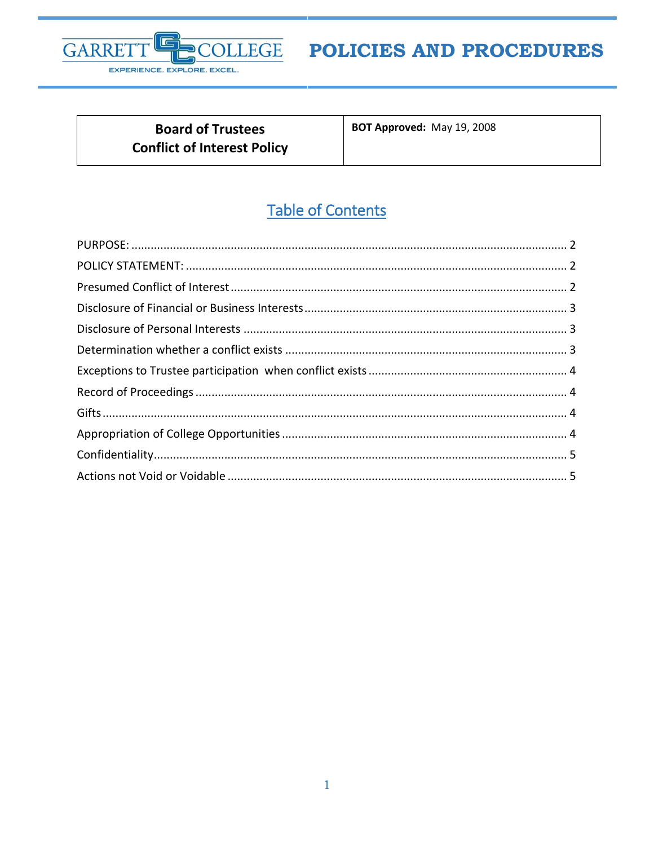

# POLICIES AND PROCEDURES

**Board of Trustees Conflict of Interest Policy**  BOT Approved: May 19, 2008

## **Table of Contents**

<span id="page-0-0"></span>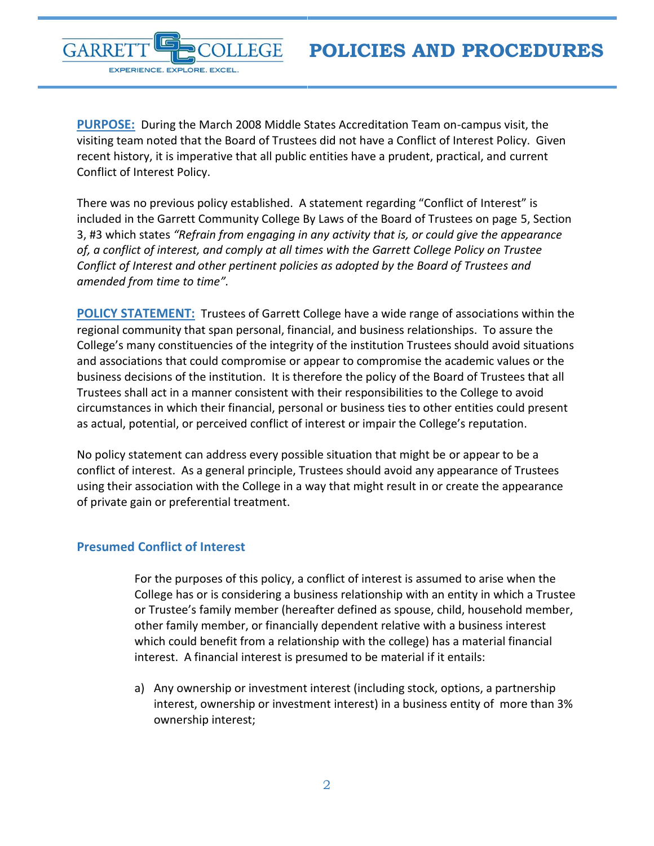

**PURPOSE:** During the March 2008 Middle States Accreditation Team on-campus visit, the visiting team noted that the Board of Trustees did not have a Conflict of Interest Policy. Given recent history, it is imperative that all public entities have a prudent, practical, and current Conflict of Interest Policy.

There was no previous policy established. A statement regarding "Conflict of Interest" is included in the Garrett Community College By Laws of the Board of Trustees on page 5, Section 3, #3 which states *"Refrain from engaging in any activity that is, or could give the appearance of, a conflict of interest, and comply at all times with the Garrett College Policy on Trustee Conflict of Interest and other pertinent policies as adopted by the Board of Trustees and amended from time to time".*

<span id="page-1-0"></span>**POLICY STATEMENT:** Trustees of Garrett College have a wide range of associations within the regional community that span personal, financial, and business relationships. To assure the College's many constituencies of the integrity of the institution Trustees should avoid situations and associations that could compromise or appear to compromise the academic values or the business decisions of the institution. It is therefore the policy of the Board of Trustees that all Trustees shall act in a manner consistent with their responsibilities to the College to avoid circumstances in which their financial, personal or business ties to other entities could present as actual, potential, or perceived conflict of interest or impair the College's reputation.

No policy statement can address every possible situation that might be or appear to be a conflict of interest. As a general principle, Trustees should avoid any appearance of Trustees using their association with the College in a way that might result in or create the appearance of private gain or preferential treatment.

## <span id="page-1-1"></span>**Presumed Conflict of Interest**

For the purposes of this policy, a conflict of interest is assumed to arise when the College has or is considering a business relationship with an entity in which a Trustee or Trustee's family member (hereafter defined as spouse, child, household member, other family member, or financially dependent relative with a business interest which could benefit from a relationship with the college) has a material financial interest. A financial interest is presumed to be material if it entails:

a) Any ownership or investment interest (including stock, options, a partnership interest, ownership or investment interest) in a business entity of more than 3% ownership interest;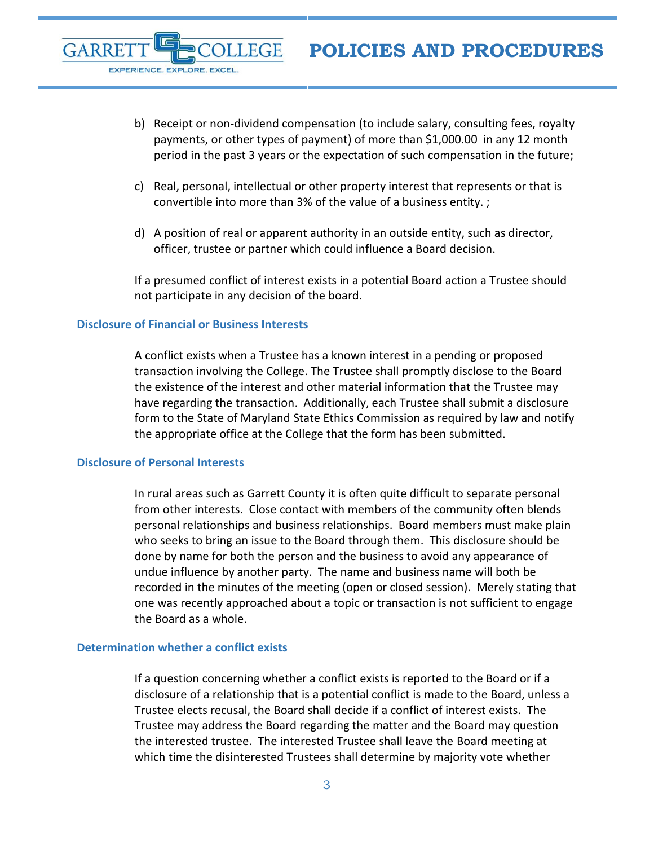- b) Receipt or non-dividend compensation (to include salary, consulting fees, royalty payments, or other types of payment) of more than \$1,000.00 in any 12 month period in the past 3 years or the expectation of such compensation in the future;
- c) Real, personal, intellectual or other property interest that represents or that is convertible into more than 3% of the value of a business entity. ;
- d) A position of real or apparent authority in an outside entity, such as director, officer, trustee or partner which could influence a Board decision.

If a presumed conflict of interest exists in a potential Board action a Trustee should not participate in any decision of the board.

#### <span id="page-2-0"></span>**Disclosure of Financial or Business Interests**

EXPERIENCE. EXPLORE. EXCEL.

A conflict exists when a Trustee has a known interest in a pending or proposed transaction involving the College. The Trustee shall promptly disclose to the Board the existence of the interest and other material information that the Trustee may have regarding the transaction. Additionally, each Trustee shall submit a disclosure form to the State of Maryland State Ethics Commission as required by law and notify the appropriate office at the College that the form has been submitted.

#### <span id="page-2-1"></span>**Disclosure of Personal Interests**

GARRE

In rural areas such as Garrett County it is often quite difficult to separate personal from other interests. Close contact with members of the community often blends personal relationships and business relationships. Board members must make plain who seeks to bring an issue to the Board through them. This disclosure should be done by name for both the person and the business to avoid any appearance of undue influence by another party. The name and business name will both be recorded in the minutes of the meeting (open or closed session). Merely stating that one was recently approached about a topic or transaction is not sufficient to engage the Board as a whole.

### <span id="page-2-2"></span>**Determination whether a conflict exists**

If a question concerning whether a conflict exists is reported to the Board or if a disclosure of a relationship that is a potential conflict is made to the Board, unless a Trustee elects recusal, the Board shall decide if a conflict of interest exists. The Trustee may address the Board regarding the matter and the Board may question the interested trustee. The interested Trustee shall leave the Board meeting at which time the disinterested Trustees shall determine by majority vote whether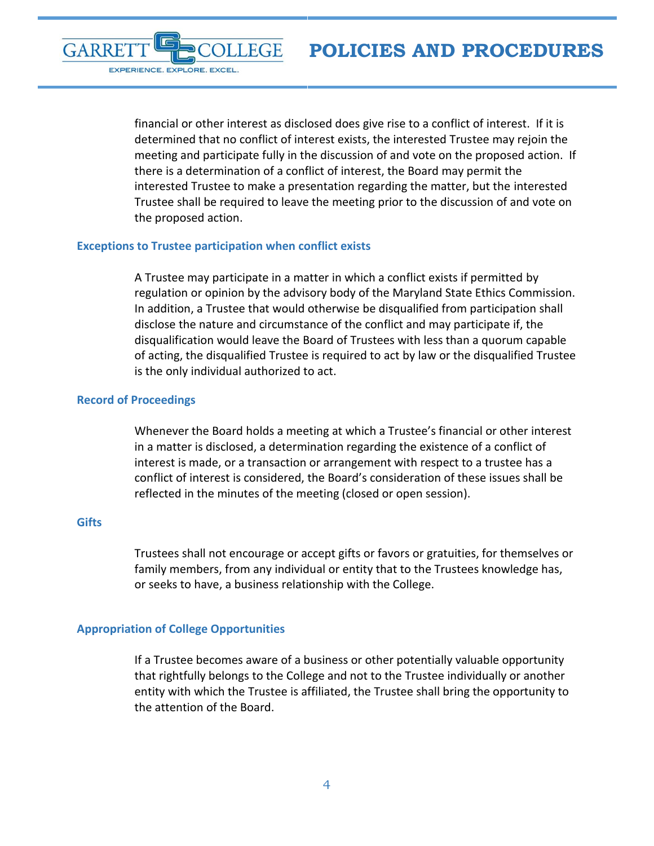GARRE EXPERIENCE. EXPLORE. EXCEL.

> financial or other interest as disclosed does give rise to a conflict of interest. If it is determined that no conflict of interest exists, the interested Trustee may rejoin the meeting and participate fully in the discussion of and vote on the proposed action. If there is a determination of a conflict of interest, the Board may permit the interested Trustee to make a presentation regarding the matter, but the interested Trustee shall be required to leave the meeting prior to the discussion of and vote on the proposed action.

#### <span id="page-3-0"></span>**Exceptions to Trustee participation when conflict exists**

A Trustee may participate in a matter in which a conflict exists if permitted by regulation or opinion by the advisory body of the Maryland State Ethics Commission. In addition, a Trustee that would otherwise be disqualified from participation shall disclose the nature and circumstance of the conflict and may participate if, the disqualification would leave the Board of Trustees with less than a quorum capable of acting, the disqualified Trustee is required to act by law or the disqualified Trustee is the only individual authorized to act.

## <span id="page-3-1"></span>**Record of Proceedings**

Whenever the Board holds a meeting at which a Trustee's financial or other interest in a matter is disclosed, a determination regarding the existence of a conflict of interest is made, or a transaction or arrangement with respect to a trustee has a conflict of interest is considered, the Board's consideration of these issues shall be reflected in the minutes of the meeting (closed or open session).

#### <span id="page-3-2"></span>**Gifts**

Trustees shall not encourage or accept gifts or favors or gratuities, for themselves or family members, from any individual or entity that to the Trustees knowledge has, or seeks to have, a business relationship with the College.

## <span id="page-3-3"></span>**Appropriation of College Opportunities**

If a Trustee becomes aware of a business or other potentially valuable opportunity that rightfully belongs to the College and not to the Trustee individually or another entity with which the Trustee is affiliated, the Trustee shall bring the opportunity to the attention of the Board.